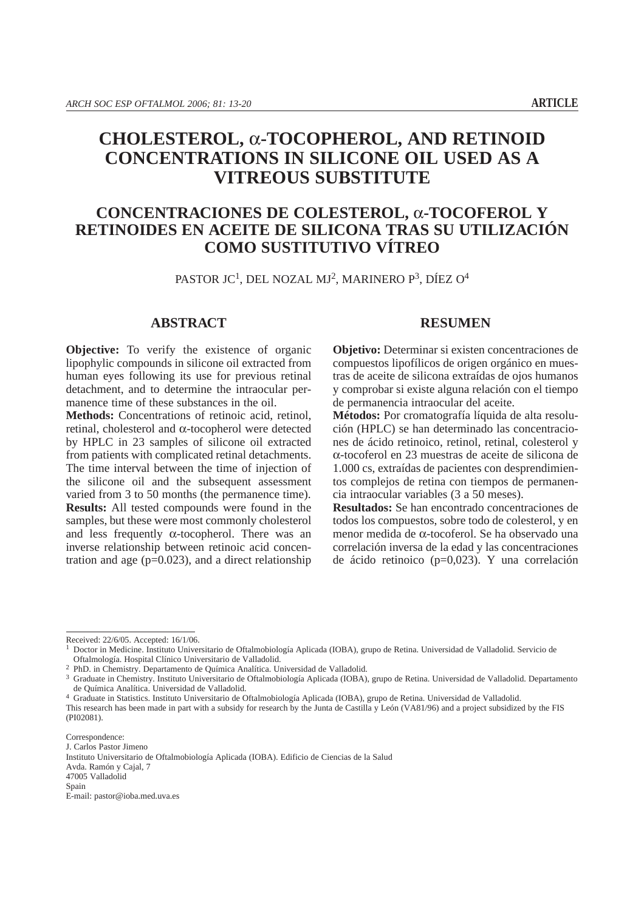# **CHOLESTEROL,** α**-TOCOPHEROL, AND RETINOID CONCENTRATIONS IN SILICONE OIL USED AS A VITREOUS SUBSTITUTE**

# **CONCENTRACIONES DE COLESTEROL,** α**-TOCOFEROL Y RETINOIDES EN ACEITE DE SILICONA TRAS SU UTILIZACIÓN COMO SUSTITUTIVO VÍTREO**

PASTOR JC<sup>1</sup>, DEL NOZAL MJ<sup>2</sup>, MARINERO P<sup>3</sup>, DÍEZ O<sup>4</sup>

## **ABSTRACT**

**Objective:** To verify the existence of organic lipophylic compounds in silicone oil extracted from human eyes following its use for previous retinal detachment, and to determine the intraocular permanence time of these substances in the oil.

**Methods:** Concentrations of retinoic acid, retinol, retinal, cholesterol and α-tocopherol were detected by HPLC in 23 samples of silicone oil extracted from patients with complicated retinal detachments. The time interval between the time of injection of the silicone oil and the subsequent assessment varied from 3 to 50 months (the permanence time). **Results:** All tested compounds were found in the samples, but these were most commonly cholesterol and less frequently  $\alpha$ -tocopherol. There was an inverse relationship between retinoic acid concentration and age  $(p=0.023)$ , and a direct relationship

## **RESUMEN**

**Objetivo:** Determinar si existen concentraciones de compuestos lipofílicos de origen orgánico en muestras de aceite de silicona extraídas de ojos humanos y comprobar si existe alguna relación con el tiempo de permanencia intraocular del aceite.

**Métodos:** Por cromatografía líquida de alta resolución (HPLC) se han determinado las concentraciones de ácido retinoico, retinol, retinal, colesterol y α-tocoferol en 23 muestras de aceite de silicona de 1.000 cs, extraídas de pacientes con desprendimientos complejos de retina con tiempos de permanencia intraocular variables (3 a 50 meses).

**Resultados:** Se han encontrado concentraciones de todos los compuestos, sobre todo de colesterol, y en menor medida de α-tocoferol. Se ha observado una correlación inversa de la edad y las concentraciones de ácido retinoico (p=0,023). Y una correlación

47005 Valladolid

Received: 22/6/05. Accepted: 16/1/06.

<sup>1</sup> Doctor in Medicine. Instituto Universitario de Oftalmobiología Aplicada (IOBA), grupo de Retina. Universidad de Valladolid. Servicio de

Oftalmología. Hospital Clínico Universitario de Valladolid.<br><sup>2</sup> PhD. in Chemistry. Departamento de Química Analítica. Universidad de Valladolid.<br><sup>3</sup> Graduate in Chemistry. Instituto Universitario de Oftalmobiología Aplicad de Química Analítica. Universidad de Valladolid. 4 Graduate in Statistics. Instituto Universitario de Oftalmobiología Aplicada (IOBA), grupo de Retina. Universidad de Valladolid.

This research has been made in part with a subsidy for research by the Junta de Castilla y León (VA81/96) and a project subsidized by the FIS (PI02081).

Correspondence: J. Carlos Pastor Jimeno

Instituto Universitario de Oftalmobiología Aplicada (IOBA). Edificio de Ciencias de la Salud Avda. Ramón y Cajal, 7

Spain

E-mail: pastor@ioba.med.uva.es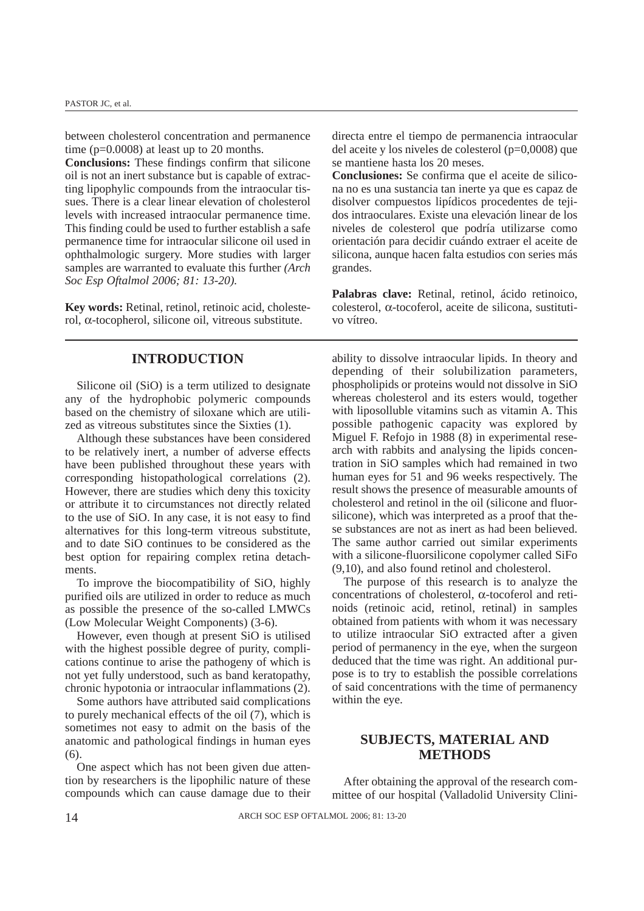between cholesterol concentration and permanence time (p=0.0008) at least up to 20 months.

**Conclusions:** These findings confirm that silicone oil is not an inert substance but is capable of extracting lipophylic compounds from the intraocular tissues. There is a clear linear elevation of cholesterol levels with increased intraocular permanence time. This finding could be used to further establish a safe permanence time for intraocular silicone oil used in ophthalmologic surgery. More studies with larger samples are warranted to evaluate this further *(Arch Soc Esp Oftalmol 2006; 81: 13-20).*

**Key words:** Retinal, retinol, retinoic acid, cholesterol, α-tocopherol, silicone oil, vitreous substitute.

## **INTRODUCTION**

Silicone oil (SiO) is a term utilized to designate any of the hydrophobic polymeric compounds based on the chemistry of siloxane which are utilized as vitreous substitutes since the Sixties (1).

Although these substances have been considered to be relatively inert, a number of adverse effects have been published throughout these years with corresponding histopathological correlations (2). However, there are studies which deny this toxicity or attribute it to circumstances not directly related to the use of SiO. In any case, it is not easy to find alternatives for this long-term vitreous substitute, and to date SiO continues to be considered as the best option for repairing complex retina detachments.

To improve the biocompatibility of SiO, highly purified oils are utilized in order to reduce as much as possible the presence of the so-called LMWCs (Low Molecular Weight Components) (3-6).

However, even though at present SiO is utilised with the highest possible degree of purity, complications continue to arise the pathogeny of which is not yet fully understood, such as band keratopathy, chronic hypotonia or intraocular inflammations (2).

Some authors have attributed said complications to purely mechanical effects of the oil (7), which is sometimes not easy to admit on the basis of the anatomic and pathological findings in human eyes (6).

One aspect which has not been given due attention by researchers is the lipophilic nature of these compounds which can cause damage due to their directa entre el tiempo de permanencia intraocular del aceite y los niveles de colesterol (p=0,0008) que se mantiene hasta los 20 meses.

**Conclusiones:** Se confirma que el aceite de silicona no es una sustancia tan inerte ya que es capaz de disolver compuestos lipídicos procedentes de tejidos intraoculares. Existe una elevación linear de los niveles de colesterol que podría utilizarse como orientación para decidir cuándo extraer el aceite de silicona, aunque hacen falta estudios con series más grandes.

**Palabras clave:** Retinal, retinol, ácido retinoico, colesterol, α-tocoferol, aceite de silicona, sustitutivo vítreo.

ability to dissolve intraocular lipids. In theory and depending of their solubilization parameters, phospholipids or proteins would not dissolve in SiO whereas cholesterol and its esters would, together with liposolluble vitamins such as vitamin A. This possible pathogenic capacity was explored by Miguel F. Refojo in 1988 (8) in experimental research with rabbits and analysing the lipids concentration in SiO samples which had remained in two human eyes for 51 and 96 weeks respectively. The result shows the presence of measurable amounts of cholesterol and retinol in the oil (silicone and fluorsilicone), which was interpreted as a proof that these substances are not as inert as had been believed. The same author carried out similar experiments with a silicone-fluorsilicone copolymer called SiFo (9,10), and also found retinol and cholesterol.

The purpose of this research is to analyze the concentrations of cholesterol, α-tocoferol and retinoids (retinoic acid, retinol, retinal) in samples obtained from patients with whom it was necessary to utilize intraocular SiO extracted after a given period of permanency in the eye, when the surgeon deduced that the time was right. An additional purpose is to try to establish the possible correlations of said concentrations with the time of permanency within the eye.

# **SUBJECTS, MATERIAL AND METHODS**

After obtaining the approval of the research committee of our hospital (Valladolid University Clini-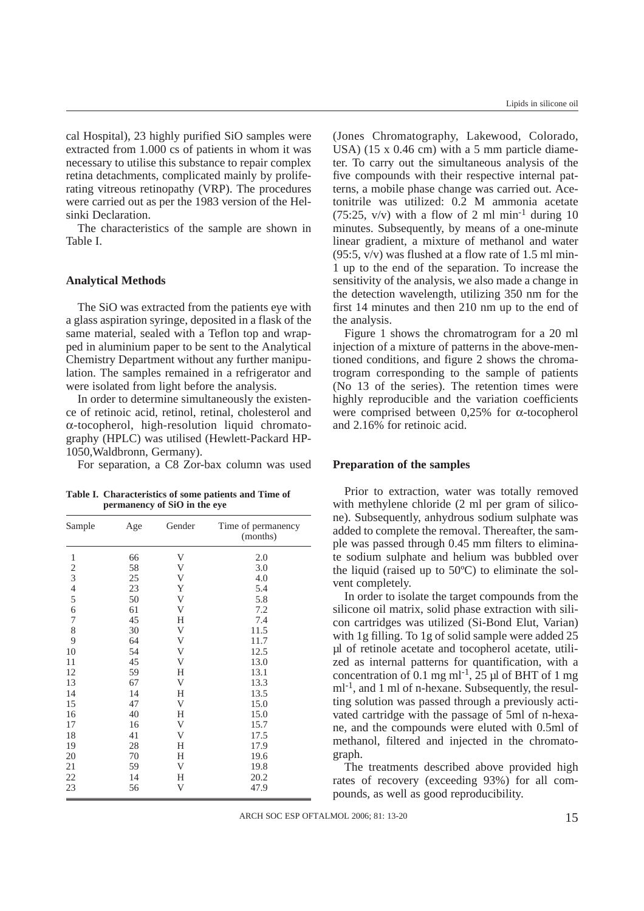cal Hospital), 23 highly purified SiO samples were extracted from 1.000 cs of patients in whom it was necessary to utilise this substance to repair complex retina detachments, complicated mainly by proliferating vitreous retinopathy (VRP). The procedures were carried out as per the 1983 version of the Helsinki Declaration.

The characteristics of the sample are shown in Table I.

#### **Analytical Methods**

The SiO was extracted from the patients eye with a glass aspiration syringe, deposited in a flask of the same material, sealed with a Teflon top and wrapped in aluminium paper to be sent to the Analytical Chemistry Department without any further manipulation. The samples remained in a refrigerator and were isolated from light before the analysis.

In order to determine simultaneously the existence of retinoic acid, retinol, retinal, cholesterol and α-tocopherol, high-resolution liquid chromatography (HPLC) was utilised (Hewlett-Packard HP-1050,Waldbronn, Germany).

For separation, a C8 Zor-bax column was used

**Table I. Characteristics of some patients and Time of permanency of SiO in the eye**

| Sample<br>Age  |    | Gender | Time of permanency<br>(months) |  |
|----------------|----|--------|--------------------------------|--|
| $\,1\,$        | 66 | V      | 2.0                            |  |
|                | 58 | V      | 3.0                            |  |
| $\frac{2}{3}$  | 25 | V      | 4.0                            |  |
|                | 23 | Y      | 5.4                            |  |
| $\frac{4}{5}$  | 50 | V      | 5.8                            |  |
| 6              | 61 | V      | 7.2                            |  |
| $\overline{7}$ | 45 | Н      | 7.4                            |  |
| 8              | 30 | V      | 11.5                           |  |
| 9              | 64 | V      | 11.7                           |  |
| 10             | 54 | V      | 12.5                           |  |
| 11             | 45 | V      | 13.0                           |  |
| 12             | 59 | Η      | 13.1                           |  |
| 13             | 67 | V      | 13.3                           |  |
| 14             | 14 | Η      | 13.5                           |  |
| 15             | 47 | V      | 15.0                           |  |
| 16             | 40 | Η      | 15.0                           |  |
| 17             | 16 | V      | 15.7                           |  |
| 18             | 41 | V      | 17.5                           |  |
| 19             | 28 | Η      | 17.9                           |  |
| 20             | 70 | Η      | 19.6                           |  |
| 21             | 59 | V      | 19.8                           |  |
| 22             | 14 | Н      | 20.2                           |  |
| 23             | 56 | V      | 47.9                           |  |

(Jones Chromatography, Lakewood, Colorado, USA) (15 x 0.46 cm) with a 5 mm particle diameter. To carry out the simultaneous analysis of the five compounds with their respective internal patterns, a mobile phase change was carried out. Acetonitrile was utilized: 0.2 M ammonia acetate  $(75:25, v/v)$  with a flow of 2 ml min<sup>-1</sup> during 10 minutes. Subsequently, by means of a one-minute linear gradient, a mixture of methanol and water  $(95:5, v/v)$  was flushed at a flow rate of 1.5 ml min-1 up to the end of the separation. To increase the sensitivity of the analysis, we also made a change in the detection wavelength, utilizing 350 nm for the first 14 minutes and then 210 nm up to the end of the analysis.

Figure 1 shows the chromatrogram for a 20 ml injection of a mixture of patterns in the above-mentioned conditions, and figure 2 shows the chromatrogram corresponding to the sample of patients (No 13 of the series). The retention times were highly reproducible and the variation coefficients were comprised between  $0.25\%$  for  $\alpha$ -tocopherol and 2.16% for retinoic acid.

#### **Preparation of the samples**

Prior to extraction, water was totally removed with methylene chloride  $(2 \text{ ml per gram of silico-})$ ne). Subsequently, anhydrous sodium sulphate was added to complete the removal. Thereafter, the sample was passed through 0.45 mm filters to eliminate sodium sulphate and helium was bubbled over the liquid (raised up to 50ºC) to eliminate the solvent completely.

In order to isolate the target compounds from the silicone oil matrix, solid phase extraction with silicon cartridges was utilized (Si-Bond Elut, Varian) with 1g filling. To 1g of solid sample were added 25 µl of retinole acetate and tocopherol acetate, utilized as internal patterns for quantification, with a concentration of 0.1 mg ml<sup>-1</sup>, 25  $\mu$ l of BHT of 1 mg  $ml<sup>-1</sup>$ , and 1 ml of n-hexane. Subsequently, the resulting solution was passed through a previously activated cartridge with the passage of 5ml of n-hexane, and the compounds were eluted with 0.5ml of methanol, filtered and injected in the chromatograph.

The treatments described above provided high rates of recovery (exceeding 93%) for all compounds, as well as good reproducibility.

ARCH SOC ESP OFTALMOL 2006; 81: 13-20 15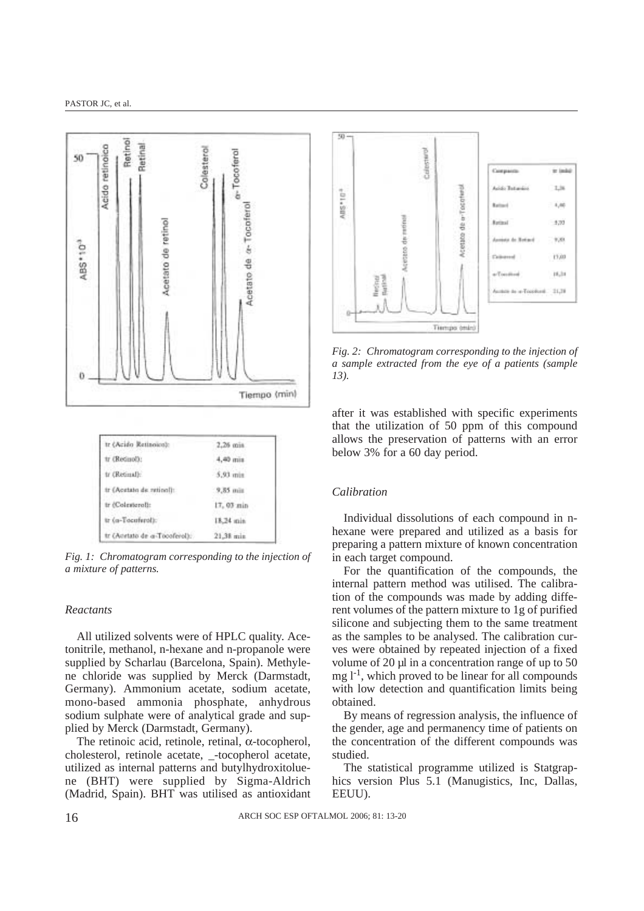

*Fig. 1: Chromatogram corresponding to the injection of a mixture of patterns.*

## *Reactants*

All utilized solvents were of HPLC quality. Acetonitrile, methanol, n-hexane and n-propanole were supplied by Scharlau (Barcelona, Spain). Methylene chloride was supplied by Merck (Darmstadt, Germany). Ammonium acetate, sodium acetate, mono-based ammonia phosphate, anhydrous sodium sulphate were of analytical grade and supplied by Merck (Darmstadt, Germany).

The retinoic acid, retinole, retinal, α-tocopherol, cholesterol, retinole acetate, \_-tocopherol acetate, utilized as internal patterns and butylhydroxitoluene (BHT) were supplied by Sigma-Aldrich (Madrid, Spain). BHT was utilised as antioxidant



*Fig. 2: Chromatogram corresponding to the injection of a sample extracted from the eye of a patients (sample 13).*

after it was established with specific experiments that the utilization of 50 ppm of this compound allows the preservation of patterns with an error below 3% for a 60 day period.

### *Calibration*

Individual dissolutions of each compound in nhexane were prepared and utilized as a basis for preparing a pattern mixture of known concentration in each target compound.

For the quantification of the compounds, the internal pattern method was utilised. The calibration of the compounds was made by adding different volumes of the pattern mixture to 1g of purified silicone and subjecting them to the same treatment as the samples to be analysed. The calibration curves were obtained by repeated injection of a fixed volume of 20 µl in a concentration range of up to 50  $mg 1<sup>-1</sup>$ , which proved to be linear for all compounds with low detection and quantification limits being obtained.

By means of regression analysis, the influence of the gender, age and permanency time of patients on the concentration of the different compounds was studied.

The statistical programme utilized is Statgraphics version Plus 5.1 (Manugistics, Inc, Dallas, EEUU).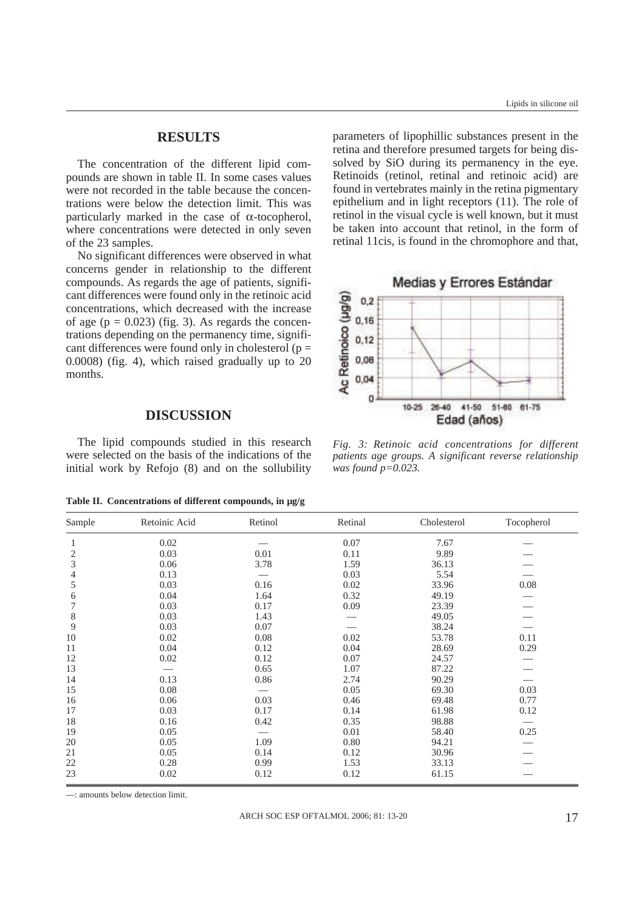## **RESULTS**

The concentration of the different lipid compounds are shown in table II. In some cases values were not recorded in the table because the concentrations were below the detection limit. This was particularly marked in the case of  $\alpha$ -tocopherol, where concentrations were detected in only seven of the 23 samples.

No significant differences were observed in what concerns gender in relationship to the different compounds. As regards the age of patients, significant differences were found only in the retinoic acid concentrations, which decreased with the increase of age ( $p = 0.023$ ) (fig. 3). As regards the concentrations depending on the permanency time, significant differences were found only in cholesterol ( $p =$ 0.0008) (fig. 4), which raised gradually up to 20 months.

# **DISCUSSION**

The lipid compounds studied in this research were selected on the basis of the indications of the initial work by Refojo (8) and on the sollubility

**Table II. Concentrations of different compounds, in µg/g**

parameters of lipophillic substances present in the retina and therefore presumed targets for being dissolved by SiO during its permanency in the eye. Retinoids (retinol, retinal and retinoic acid) are found in vertebrates mainly in the retina pigmentary epithelium and in light receptors (11). The role of retinol in the visual cycle is well known, but it must be taken into account that retinol, in the form of retinal 11cis, is found in the chromophore and that,



*Fig. 3: Retinoic acid concentrations for different patients age groups. A significant reverse relationship was found p=0.023.*

| Sample | Retoinic Acid | Retinol | Retinal | Cholesterol | Tocopherol |
|--------|---------------|---------|---------|-------------|------------|
|        | 0.02          |         | 0.07    | 7.67        |            |
| 2      | 0.03          | 0.01    | 0.11    | 9.89        |            |
| 3      | 0.06          | 3.78    | 1.59    | 36.13       |            |
| 4      | 0.13          |         | 0.03    | 5.54        |            |
| 5      | 0.03          | 0.16    | 0.02    | 33.96       | 0.08       |
| 6      | 0.04          | 1.64    | 0.32    | 49.19       |            |
| 7      | 0.03          | 0.17    | 0.09    | 23.39       |            |
| 8      | 0.03          | 1.43    |         | 49.05       |            |
| 9      | 0.03          | 0.07    |         | 38.24       |            |
| 10     | 0.02          | 0.08    | 0.02    | 53.78       | 0.11       |
| 11     | 0.04          | 0.12    | 0.04    | 28.69       | 0.29       |
| 12     | 0.02          | 0.12    | 0.07    | 24.57       |            |
| 13     |               | 0.65    | 1.07    | 87.22       |            |
| 14     | 0.13          | 0.86    | 2.74    | 90.29       |            |
| 15     | 0.08          |         | 0.05    | 69.30       | 0.03       |
| 16     | 0.06          | 0.03    | 0.46    | 69.48       | 0.77       |
| 17     | 0.03          | 0.17    | 0.14    | 61.98       | 0.12       |
| 18     | 0.16          | 0.42    | 0.35    | 98.88       |            |
| 19     | 0.05          |         | 0.01    | 58.40       | 0.25       |
| 20     | 0.05          | 1.09    | 0.80    | 94.21       |            |
| 21     | 0.05          | 0.14    | 0.12    | 30.96       |            |
| 22     | 0.28          | 0.99    | 1.53    | 33.13       |            |
| 23     | 0.02          | 0.12    | 0.12    | 61.15       |            |

—: amounts below detection limit.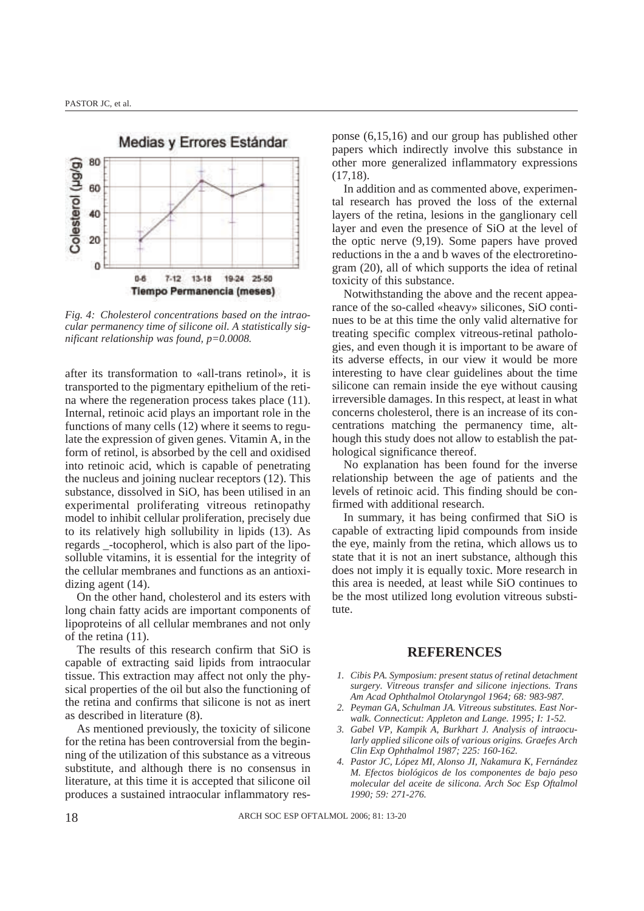

*Fig. 4: Cholesterol concentrations based on the intraocular permanency time of silicone oil. A statistically significant relationship was found, p=0.0008.*

after its transformation to «all-trans retinol», it is transported to the pigmentary epithelium of the retina where the regeneration process takes place (11). Internal, retinoic acid plays an important role in the functions of many cells (12) where it seems to regulate the expression of given genes. Vitamin A, in the form of retinol, is absorbed by the cell and oxidised into retinoic acid, which is capable of penetrating the nucleus and joining nuclear receptors (12). This substance, dissolved in SiO, has been utilised in an experimental proliferating vitreous retinopathy model to inhibit cellular proliferation, precisely due to its relatively high sollubility in lipids (13). As regards \_-tocopherol, which is also part of the liposolluble vitamins, it is essential for the integrity of the cellular membranes and functions as an antioxidizing agent (14).

On the other hand, cholesterol and its esters with long chain fatty acids are important components of lipoproteins of all cellular membranes and not only of the retina (11).

The results of this research confirm that SiO is capable of extracting said lipids from intraocular tissue. This extraction may affect not only the physical properties of the oil but also the functioning of the retina and confirms that silicone is not as inert as described in literature (8).

As mentioned previously, the toxicity of silicone for the retina has been controversial from the beginning of the utilization of this substance as a vitreous substitute, and although there is no consensus in literature, at this time it is accepted that silicone oil produces a sustained intraocular inflammatory res-

ponse (6,15,16) and our group has published other papers which indirectly involve this substance in other more generalized inflammatory expressions (17,18).

In addition and as commented above, experimental research has proved the loss of the external layers of the retina, lesions in the ganglionary cell layer and even the presence of SiO at the level of the optic nerve (9,19). Some papers have proved reductions in the a and b waves of the electroretinogram (20), all of which supports the idea of retinal toxicity of this substance.

Notwithstanding the above and the recent appearance of the so-called «heavy» silicones, SiO continues to be at this time the only valid alternative for treating specific complex vitreous-retinal pathologies, and even though it is important to be aware of its adverse effects, in our view it would be more interesting to have clear guidelines about the time silicone can remain inside the eye without causing irreversible damages. In this respect, at least in what concerns cholesterol, there is an increase of its concentrations matching the permanency time, although this study does not allow to establish the pathological significance thereof.

No explanation has been found for the inverse relationship between the age of patients and the levels of retinoic acid. This finding should be confirmed with additional research.

In summary, it has being confirmed that SiO is capable of extracting lipid compounds from inside the eye, mainly from the retina, which allows us to state that it is not an inert substance, although this does not imply it is equally toxic. More research in this area is needed, at least while SiO continues to be the most utilized long evolution vitreous substitute.

### **REFERENCES**

- *1. Cibis PA. Symposium: present status of retinal detachment surgery. Vitreous transfer and silicone injections. Trans Am Acad Ophthalmol Otolaryngol 1964; 68: 983-987.*
- *2. Peyman GA, Schulman JA. Vitreous substitutes. East Norwalk. Connecticut: Appleton and Lange. 1995; I: 1-52.*
- *3. Gabel VP, Kampik A, Burkhart J. Analysis of intraocularly applied silicone oils of various origins. Graefes Arch Clin Exp Ophthalmol 1987; 225: 160-162.*
- *4. Pastor JC, López MI, Alonso JI, Nakamura K, Fernández M. Efectos biológicos de los componentes de bajo peso molecular del aceite de silicona. Arch Soc Esp Oftalmol 1990; 59: 271-276.*

18 ARCH SOC ESP OFTALMOL 2006; 81: 13-20